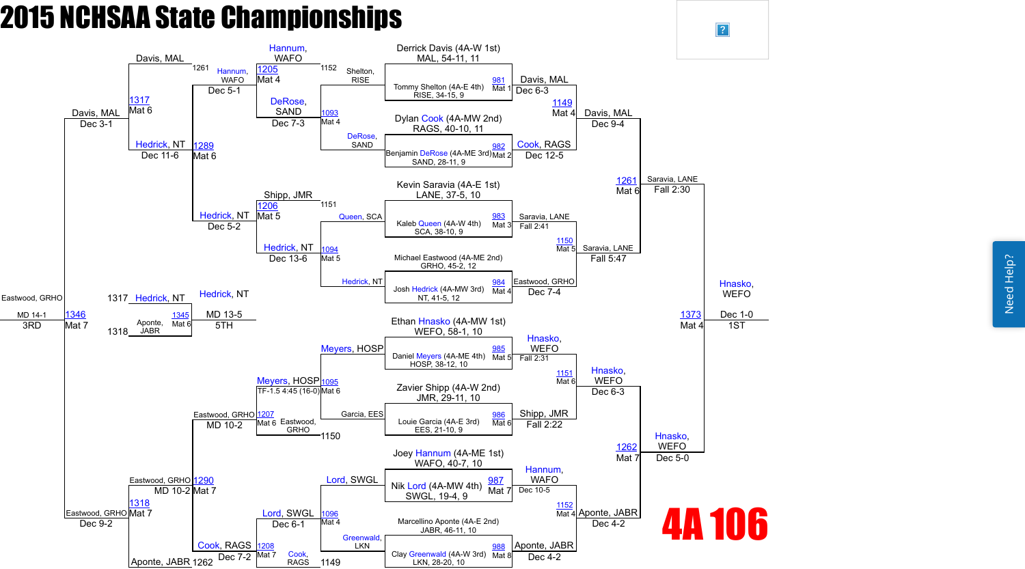

 $\overline{?}$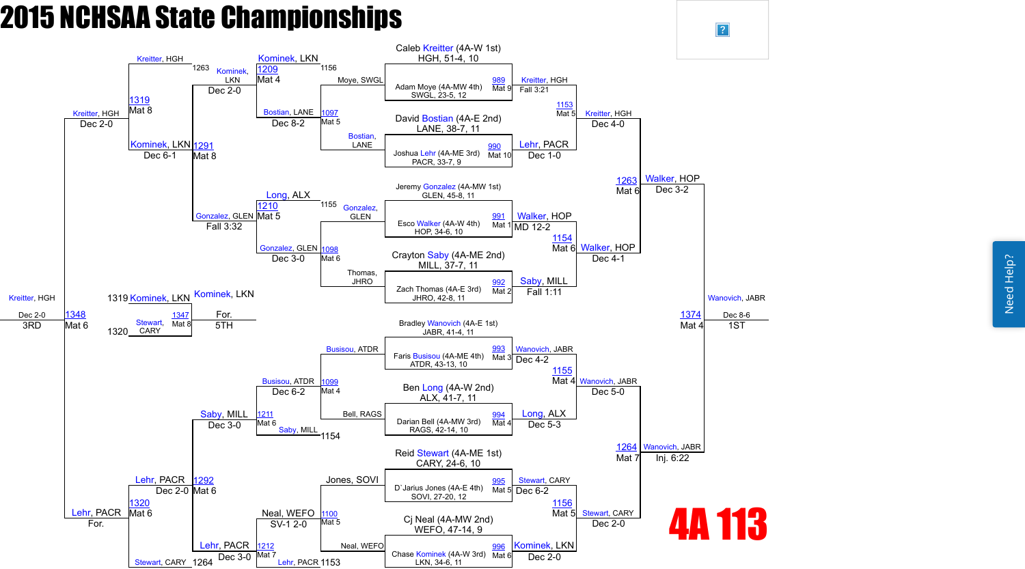

 $\sqrt{?}$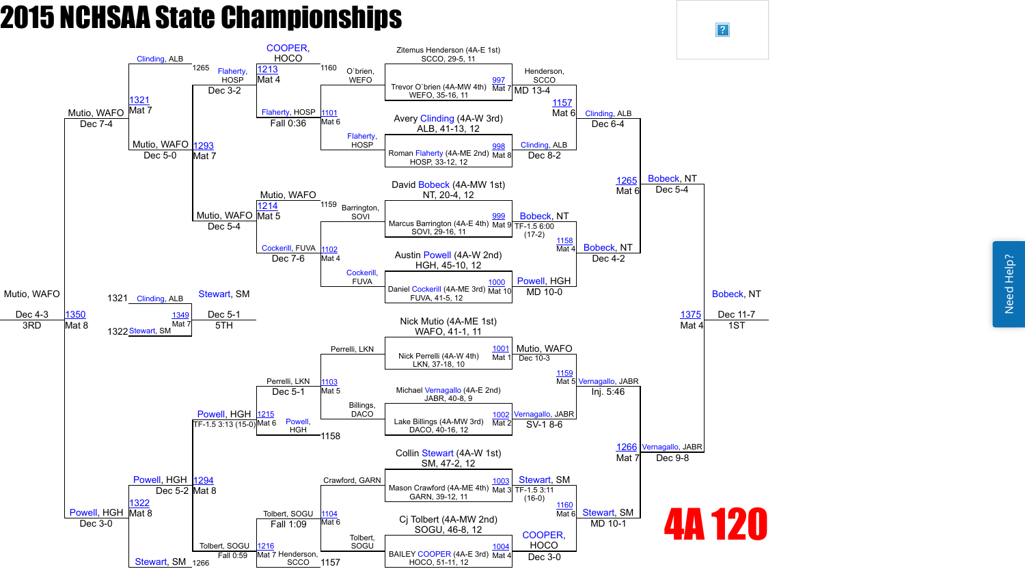Need Help? Need Help?



 $\vert$ ?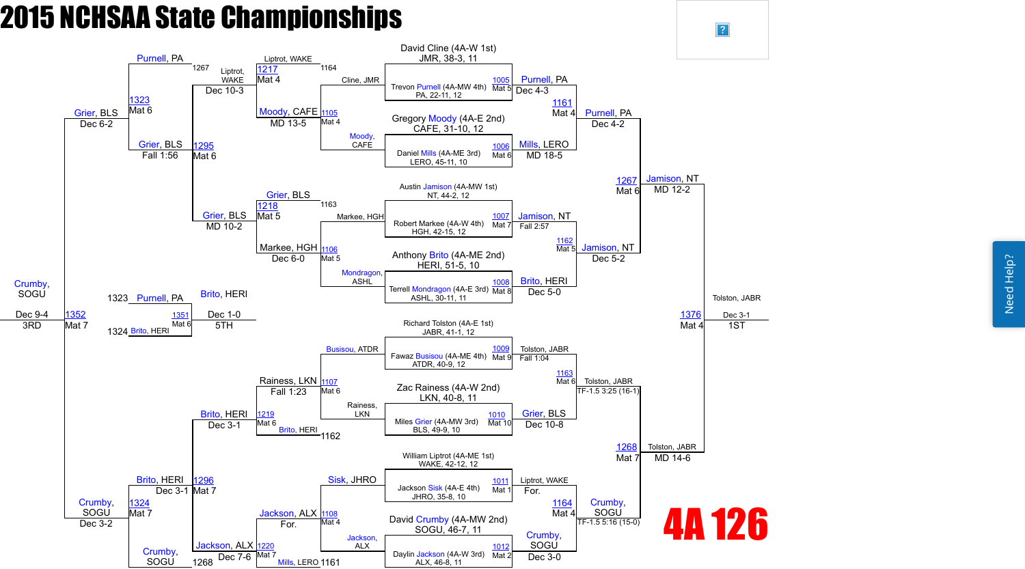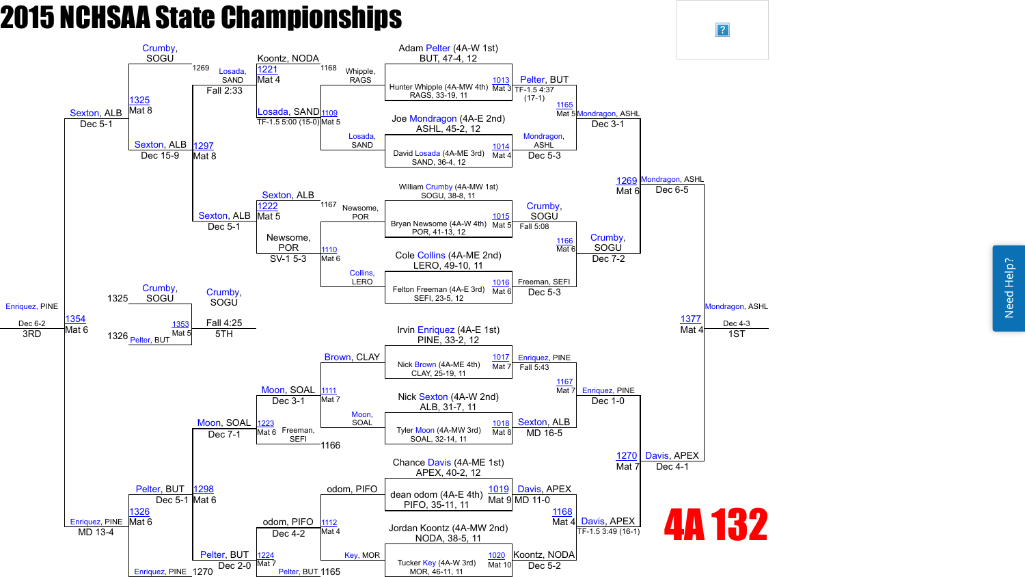Need Help? Need Help?



 $\boxed{?}$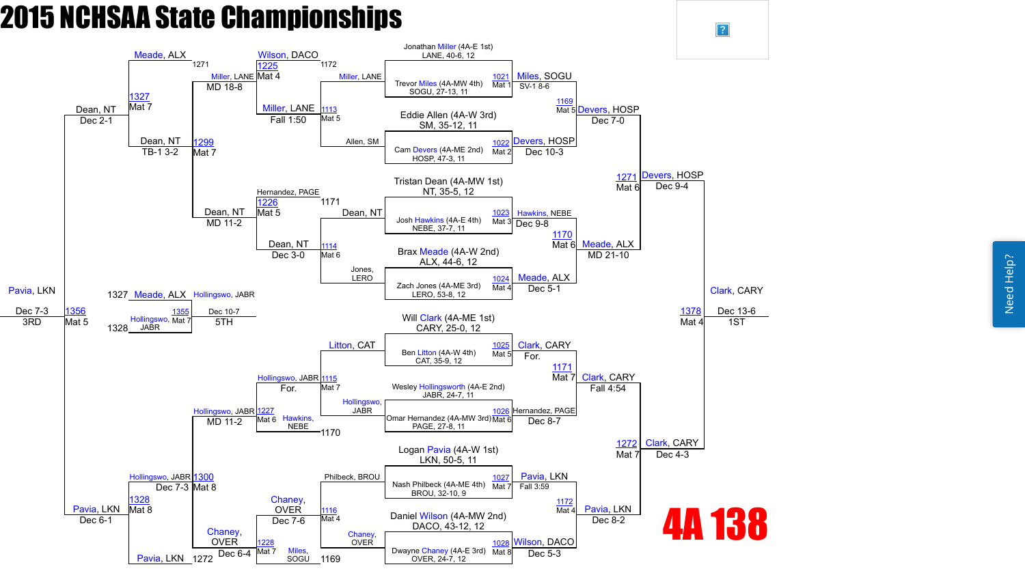

 $\sqrt{?}$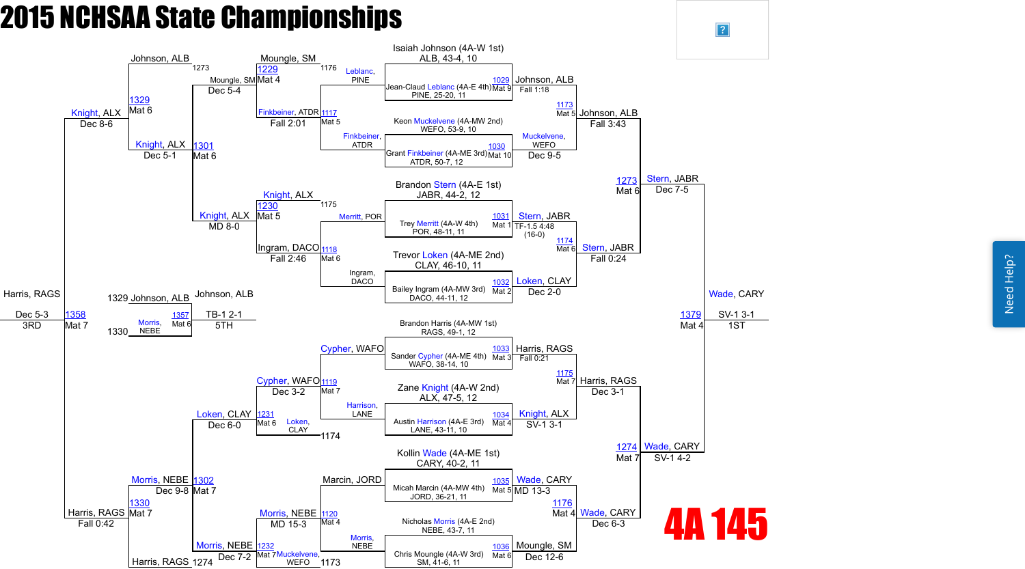Need Help? Need Help?



 $\vert$ ?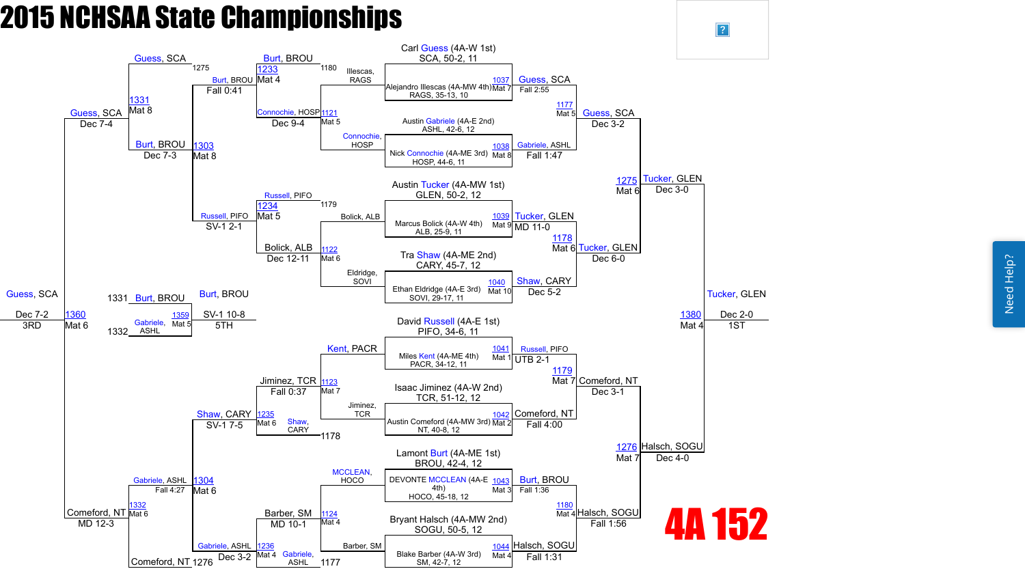Need Help? Need Help?



 $\sqrt{?}$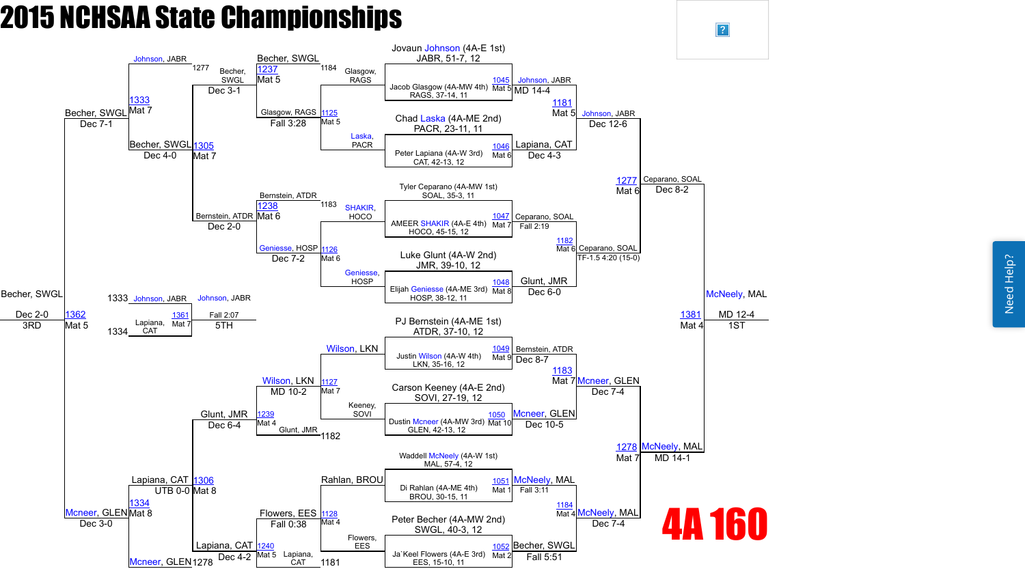

 $\vert$ ?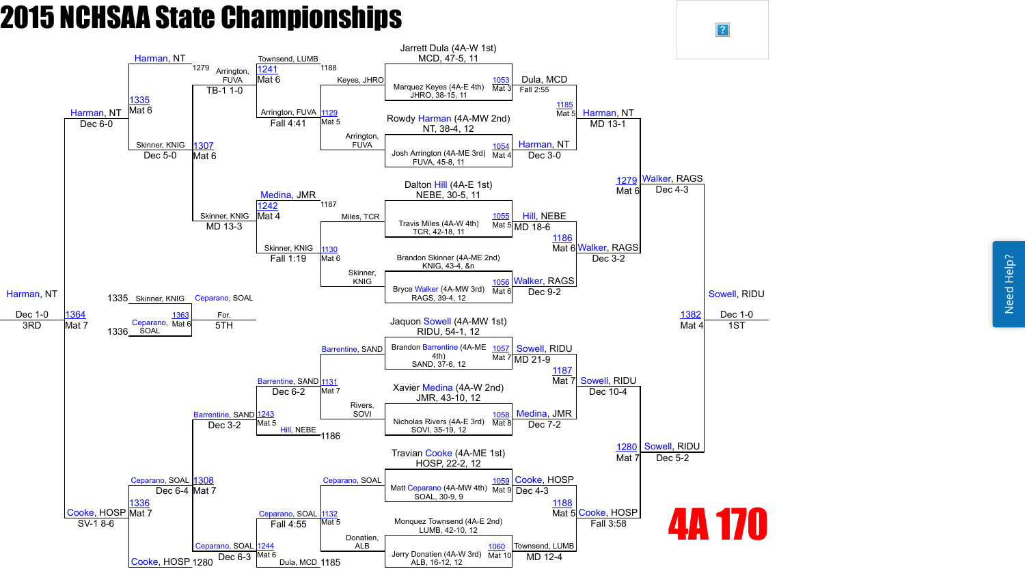

 $\overline{?}$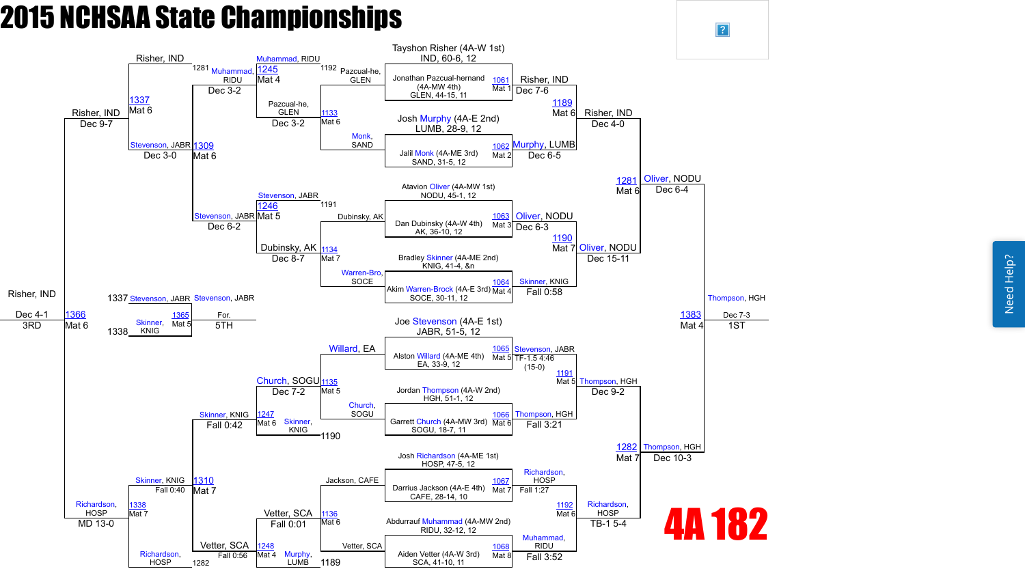Need Help? Need Help?



 $\overline{?}$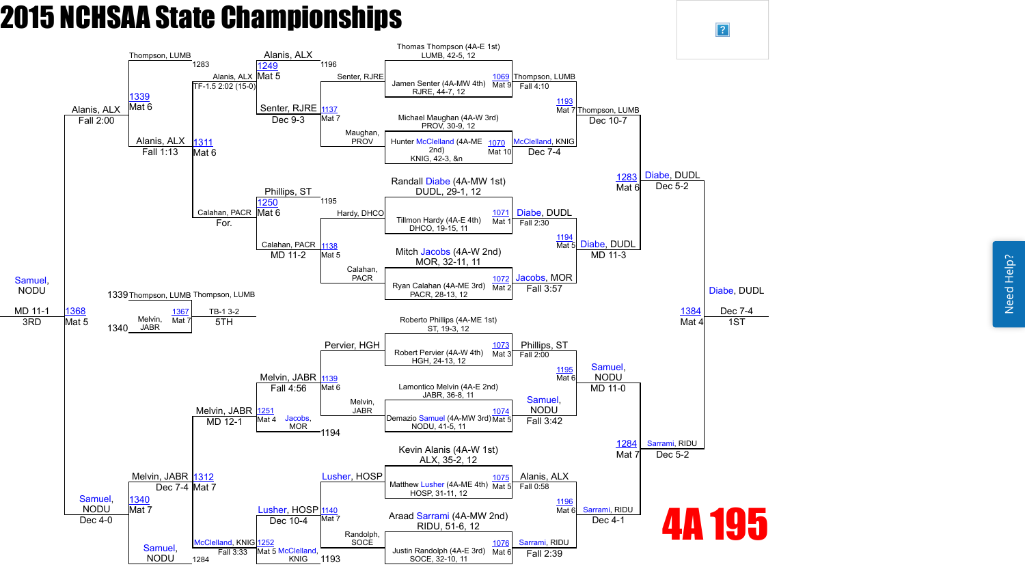Need Help? Need Help?



 $\overline{?}$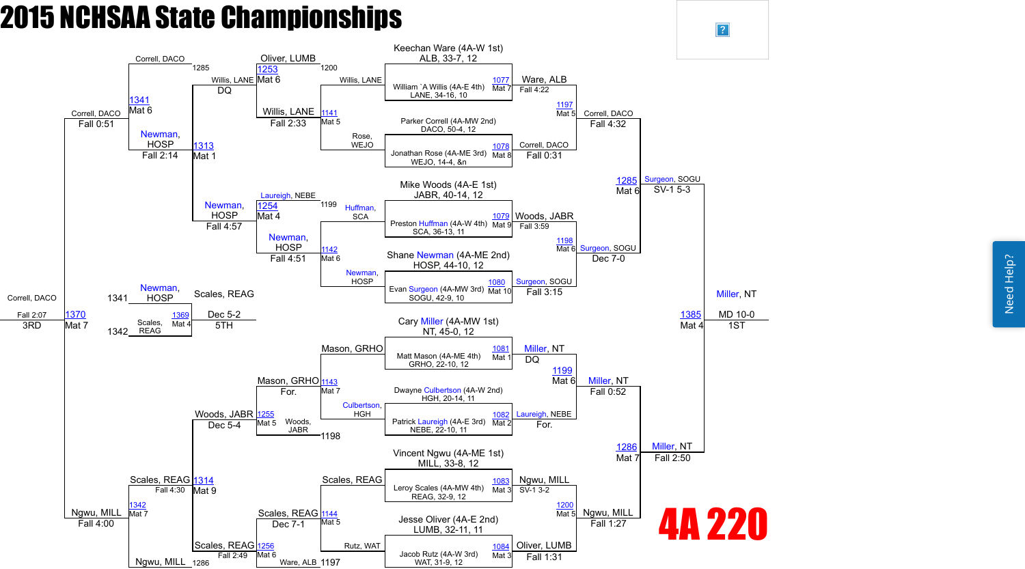Need Help? Need Help?



 $\vert$ ?